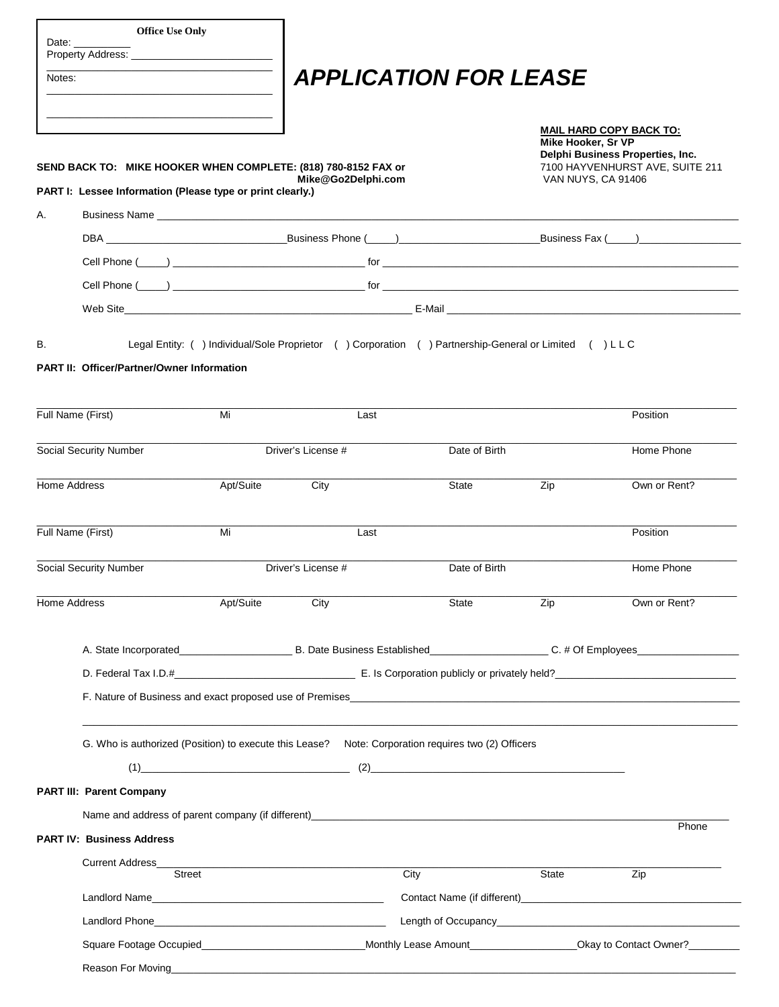| <b>Office Use Only</b><br>Date:                                                                                                                                                                                                    |           |                                                                                                                               |               |                    |                                                                                                       |  |
|------------------------------------------------------------------------------------------------------------------------------------------------------------------------------------------------------------------------------------|-----------|-------------------------------------------------------------------------------------------------------------------------------|---------------|--------------------|-------------------------------------------------------------------------------------------------------|--|
| Notes:                                                                                                                                                                                                                             |           | <b>APPLICATION FOR LEASE</b>                                                                                                  |               |                    |                                                                                                       |  |
| SEND BACK TO: MIKE HOOKER WHEN COMPLETE: (818) 780-8152 FAX or                                                                                                                                                                     |           |                                                                                                                               |               | Mike Hooker, Sr VP | <b>MAIL HARD COPY BACK TO:</b><br>Delphi Business Properties, Inc.<br>7100 HAYVENHURST AVE, SUITE 211 |  |
| PART I: Lessee Information (Please type or print clearly.)                                                                                                                                                                         |           | Mike@Go2Delphi.com                                                                                                            |               | VAN NUYS, CA 91406 |                                                                                                       |  |
| Α.                                                                                                                                                                                                                                 |           |                                                                                                                               |               |                    |                                                                                                       |  |
|                                                                                                                                                                                                                                    |           |                                                                                                                               |               |                    |                                                                                                       |  |
|                                                                                                                                                                                                                                    |           |                                                                                                                               |               |                    |                                                                                                       |  |
|                                                                                                                                                                                                                                    |           |                                                                                                                               |               |                    |                                                                                                       |  |
|                                                                                                                                                                                                                                    |           |                                                                                                                               |               |                    |                                                                                                       |  |
| <b>PART II: Officer/Partner/Owner Information</b><br>Full Name (First)                                                                                                                                                             | Mi        | Last                                                                                                                          |               |                    | Position                                                                                              |  |
|                                                                                                                                                                                                                                    |           |                                                                                                                               |               |                    |                                                                                                       |  |
| Social Security Number                                                                                                                                                                                                             |           | Driver's License #                                                                                                            | Date of Birth |                    | Home Phone                                                                                            |  |
| Home Address                                                                                                                                                                                                                       | Apt/Suite | City                                                                                                                          | State         | Zip                | Own or Rent?                                                                                          |  |
| Full Name (First)                                                                                                                                                                                                                  | Mi        | Last                                                                                                                          |               |                    | Position                                                                                              |  |
| Social Security Number                                                                                                                                                                                                             |           | Driver's License #                                                                                                            | Date of Birth |                    | Home Phone                                                                                            |  |
| Home Address                                                                                                                                                                                                                       | Apt/Suite | City                                                                                                                          | <b>State</b>  | Zip                | Own or Rent?                                                                                          |  |
|                                                                                                                                                                                                                                    |           |                                                                                                                               |               |                    |                                                                                                       |  |
|                                                                                                                                                                                                                                    |           |                                                                                                                               |               |                    |                                                                                                       |  |
| F. Nature of Business and exact proposed use of Premises <b>Example 2018</b> 2019 12:00:00 PM 2019 12:00:00 PM 2019 12:00:00 PM 2019 12:00:00 PM 2019 12:00:00 PM 2019 12:00:00 PM 2019 12:00:00 PM 2019 12:00:00 PM 2019 12:00:00 |           |                                                                                                                               |               |                    |                                                                                                       |  |
| G. Who is authorized (Position) to execute this Lease? Note: Corporation requires two (2) Officers                                                                                                                                 |           |                                                                                                                               |               |                    |                                                                                                       |  |
|                                                                                                                                                                                                                                    |           |                                                                                                                               |               |                    |                                                                                                       |  |
| <b>PART III: Parent Company</b>                                                                                                                                                                                                    |           |                                                                                                                               |               |                    |                                                                                                       |  |
|                                                                                                                                                                                                                                    |           |                                                                                                                               |               |                    | Phone                                                                                                 |  |
| <b>PART IV: Business Address</b>                                                                                                                                                                                                   |           |                                                                                                                               |               |                    |                                                                                                       |  |
| <b>Current Address</b><br><b>Street</b>                                                                                                                                                                                            |           | <u> 1989 - Johann John Stone, mars et al. 1989 - John Stone, mars et al. 1989 - John Stone, mars et al. 1989 - John Stone</u> | City          | State              | Zip                                                                                                   |  |
|                                                                                                                                                                                                                                    |           |                                                                                                                               |               |                    |                                                                                                       |  |
|                                                                                                                                                                                                                                    |           |                                                                                                                               |               |                    |                                                                                                       |  |
|                                                                                                                                                                                                                                    |           |                                                                                                                               |               |                    |                                                                                                       |  |
|                                                                                                                                                                                                                                    |           |                                                                                                                               |               |                    |                                                                                                       |  |